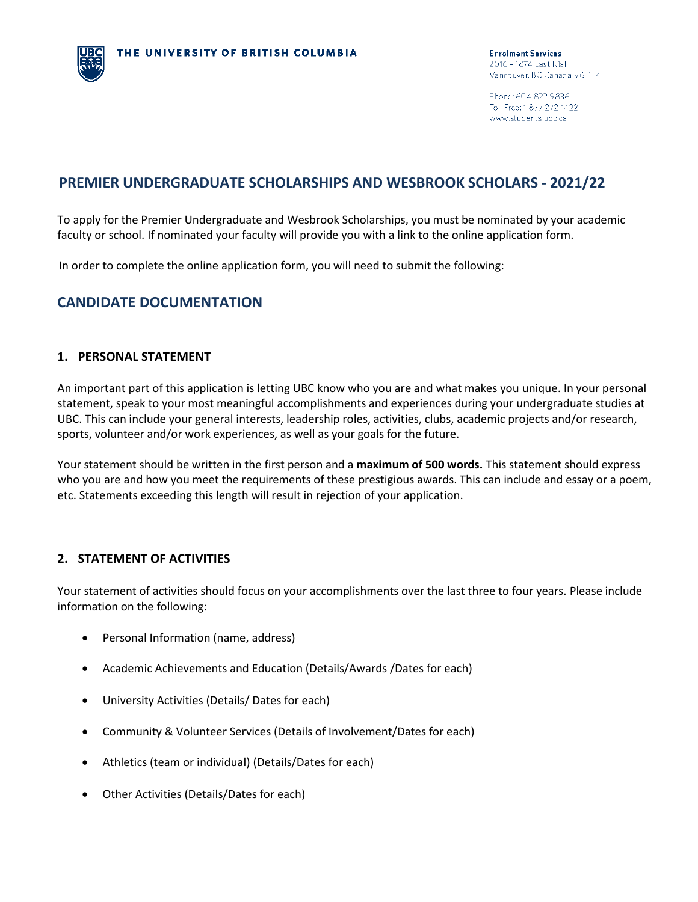Phone: 604 822 9836 Toll Free: 1 877 272 1422 www.students.ubc.ca

# **PREMIER UNDERGRADUATE SCHOLARSHIPS AND WESBROOK SCHOLARS - 2021/22**

To apply for the Premier Undergraduate and Wesbrook Scholarships, you must be nominated by your academic faculty or school. If nominated your faculty will provide you with a link to the online application form.

In order to complete the online application form, you will need to submit the following:

## **CANDIDATE DOCUMENTATION**

#### **1. PERSONAL STATEMENT**

An important part of this application is letting UBC know who you are and what makes you unique. In your personal statement, speak to your most meaningful accomplishments and experiences during your undergraduate studies at UBC. This can include your general interests, leadership roles, activities, clubs, academic projects and/or research, sports, volunteer and/or work experiences, as well as your goals for the future.

Your statement should be written in the first person and a **maximum of 500 words.** This statement should express who you are and how you meet the requirements of these prestigious awards. This can include and essay or a poem, etc. Statements exceeding this length will result in rejection of your application.

#### **2. STATEMENT OF ACTIVITIES**

Your statement of activities should focus on your accomplishments over the last three to four years. Please include information on the following:

- Personal Information (name, address)
- Academic Achievements and Education (Details/Awards /Dates for each)
- University Activities (Details/ Dates for each)
- Community & Volunteer Services (Details of Involvement/Dates for each)
- Athletics (team or individual) (Details/Dates for each)
- Other Activities (Details/Dates for each)